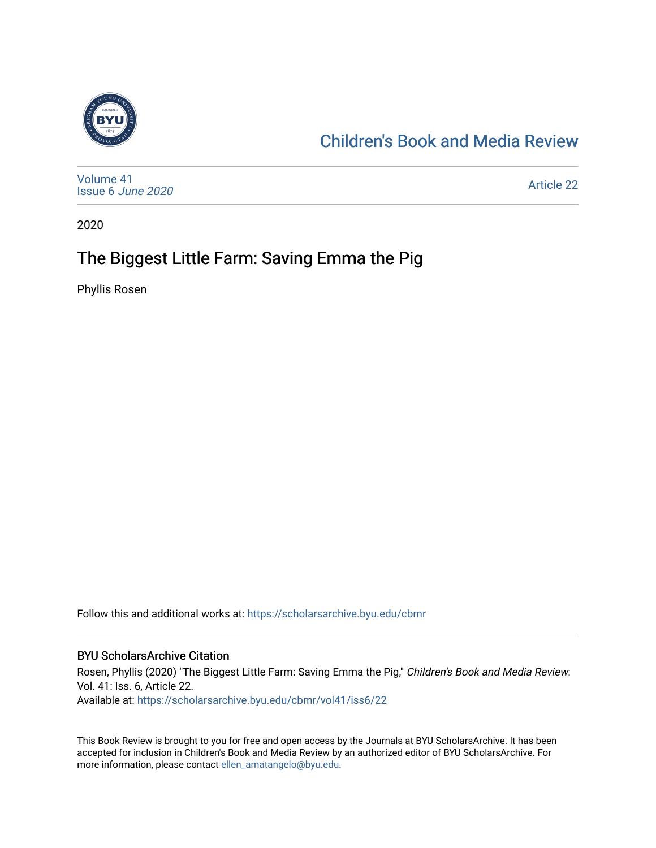

### [Children's Book and Media Review](https://scholarsarchive.byu.edu/cbmr)

[Volume 41](https://scholarsarchive.byu.edu/cbmr/vol41) [Issue 6](https://scholarsarchive.byu.edu/cbmr/vol41/iss6) June 2020

[Article 22](https://scholarsarchive.byu.edu/cbmr/vol41/iss6/22) 

2020

## The Biggest Little Farm: Saving Emma the Pig

Phyllis Rosen

Follow this and additional works at: [https://scholarsarchive.byu.edu/cbmr](https://scholarsarchive.byu.edu/cbmr?utm_source=scholarsarchive.byu.edu%2Fcbmr%2Fvol41%2Fiss6%2F22&utm_medium=PDF&utm_campaign=PDFCoverPages) 

#### BYU ScholarsArchive Citation

Rosen, Phyllis (2020) "The Biggest Little Farm: Saving Emma the Pig," Children's Book and Media Review: Vol. 41: Iss. 6, Article 22. Available at: [https://scholarsarchive.byu.edu/cbmr/vol41/iss6/22](https://scholarsarchive.byu.edu/cbmr/vol41/iss6/22?utm_source=scholarsarchive.byu.edu%2Fcbmr%2Fvol41%2Fiss6%2F22&utm_medium=PDF&utm_campaign=PDFCoverPages)

This Book Review is brought to you for free and open access by the Journals at BYU ScholarsArchive. It has been accepted for inclusion in Children's Book and Media Review by an authorized editor of BYU ScholarsArchive. For more information, please contact [ellen\\_amatangelo@byu.edu.](mailto:ellen_amatangelo@byu.edu)